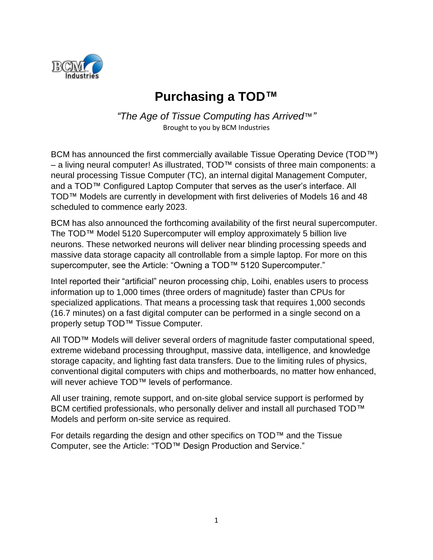

# **Purchasing a TOD™**

*"The Age of Tissue Computing has Arrived*™*"* Brought to you by BCM Industries

BCM has announced the first commercially available Tissue Operating Device (TOD™) – a living neural computer! As illustrated, TOD™ consists of three main components: a neural processing Tissue Computer (TC), an internal digital Management Computer, and a TOD™ Configured Laptop Computer that serves as the user's interface. All TOD™ Models are currently in development with first deliveries of Models 16 and 48 scheduled to commence early 2023.

BCM has also announced the forthcoming availability of the first neural supercomputer. The TOD™ Model 5120 Supercomputer will employ approximately 5 billion live neurons. These networked neurons will deliver near blinding processing speeds and massive data storage capacity all controllable from a simple laptop. For more on this supercomputer, see the Article: "Owning a TOD™ 5120 Supercomputer."

Intel reported their "artificial" neuron processing chip, Loihi, enables users to process information up to 1,000 times (three orders of magnitude) faster than CPUs for specialized applications. That means a processing task that requires 1,000 seconds (16.7 minutes) on a fast digital computer can be performed in a single second on a properly setup TOD<sup>™</sup> Tissue Computer.

All TOD™ Models will deliver several orders of magnitude faster computational speed, extreme wideband processing throughput, massive data, intelligence, and knowledge storage capacity, and lighting fast data transfers. Due to the limiting rules of physics, conventional digital computers with chips and motherboards, no matter how enhanced, will never achieve TOD™ levels of performance.

All user training, remote support, and on-site global service support is performed by BCM certified professionals, who personally deliver and install all purchased TOD™ Models and perform on-site service as required.

For details regarding the design and other specifics on TOD™ and the Tissue Computer, see the Article: "TOD™ Design Production and Service."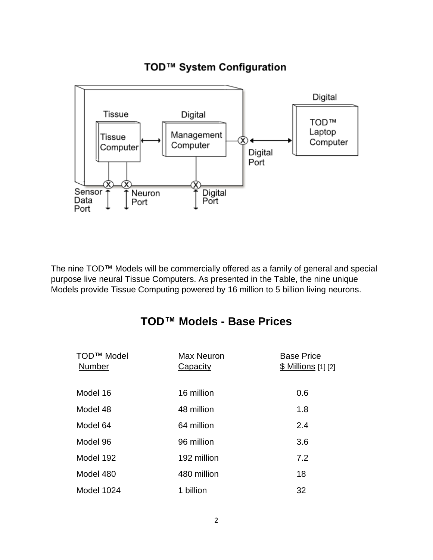## TOD™ System Configuration



The nine TOD™ Models will be commercially offered as a family of general and special purpose live neural Tissue Computers. As presented in the Table, the nine unique Models provide Tissue Computing powered by 16 million to 5 billion living neurons.

### **TOD™ Models - Base Prices**

| TOD <sup>™</sup> Model<br><b>Number</b> | <b>Max Neuron</b><br><b>Capacity</b> | <b>Base Price</b><br><u>\$ Millions</u> [1] [2] |
|-----------------------------------------|--------------------------------------|-------------------------------------------------|
| Model 16                                | 16 million                           | 0.6                                             |
| Model 48                                | 48 million                           | 1.8                                             |
| Model 64                                | 64 million                           | 2.4                                             |
| Model 96                                | 96 million                           | 3.6                                             |
| Model 192                               | 192 million                          | 7.2                                             |
| Model 480                               | 480 million                          | 18                                              |
| Model 1024                              | 1 billion                            | 32                                              |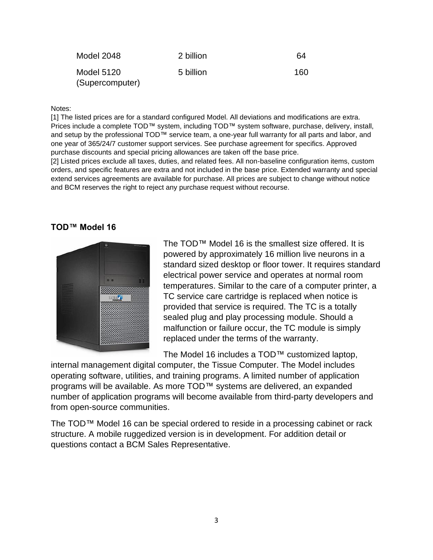| Model 2048                    | 2 billion | 64  |
|-------------------------------|-----------|-----|
| Model 5120<br>(Supercomputer) | 5 billion | 160 |
|                               |           |     |

#### Notes:

[1] The listed prices are for a standard configured Model. All deviations and modifications are extra. Prices include a complete TOD™ system, including TOD™ system software, purchase, delivery, install, and setup by the professional TOD™ service team, a one-year full warranty for all parts and labor, and one year of 365/24/7 customer support services. See purchase agreement for specifics. Approved purchase discounts and special pricing allowances are taken off the base price.

[2] Listed prices exclude all taxes, duties, and related fees. All non-baseline configuration items, custom orders, and specific features are extra and not included in the base price. Extended warranty and special extend services agreements are available for purchase. All prices are subject to change without notice and BCM reserves the right to reject any purchase request without recourse.

#### **TOD™ Model 16**



The TOD™ Model 16 is the smallest size offered. It is powered by approximately 16 million live neurons in a standard sized desktop or floor tower. It requires standard electrical power service and operates at normal room temperatures. Similar to the care of a computer printer, a TC service care cartridge is replaced when notice is provided that service is required. The TC is a totally sealed plug and play processing module. Should a malfunction or failure occur, the TC module is simply replaced under the terms of the warranty.

The Model 16 includes a TOD™ customized laptop,

internal management digital computer, the Tissue Computer. The Model includes operating software, utilities, and training programs. A limited number of application programs will be available. As more TOD™ systems are delivered, an expanded number of application programs will become available from third-party developers and from open-source communities.

The TOD™ Model 16 can be special ordered to reside in a processing cabinet or rack structure. A mobile ruggedized version is in development. For addition detail or questions contact a BCM Sales Representative.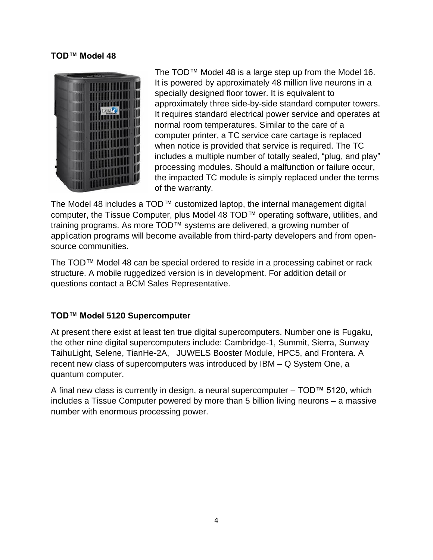#### **TOD™ Model 48**



The TOD™ Model 48 is a large step up from the Model 16. It is powered by approximately 48 million live neurons in a specially designed floor tower. It is equivalent to approximately three side-by-side standard computer towers. It requires standard electrical power service and operates at normal room temperatures. Similar to the care of a computer printer, a TC service care cartage is replaced when notice is provided that service is required. The TC includes a multiple number of totally sealed, "plug, and play" processing modules. Should a malfunction or failure occur, the impacted TC module is simply replaced under the terms of the warranty.

The Model 48 includes a TOD™ customized laptop, the internal management digital computer, the Tissue Computer, plus Model 48 TOD™ operating software, utilities, and training programs. As more TOD™ systems are delivered, a growing number of application programs will become available from third-party developers and from opensource communities.

The TOD™ Model 48 can be special ordered to reside in a processing cabinet or rack structure. A mobile ruggedized version is in development. For addition detail or questions contact a BCM Sales Representative.

#### **TOD™ Model 5120 Supercomputer**

At present there exist at least ten true digital supercomputers. Number one is Fugaku, the other nine digital supercomputers include: Cambridge-1, Summit, Sierra, Sunway TaihuLight, Selene, TianHe-2A, JUWELS Booster Module, HPC5, and Frontera. A recent new class of supercomputers was introduced by IBM – Q System One, a quantum computer.

A final new class is currently in design, a neural supercomputer – TOD™ 5120, which includes a Tissue Computer powered by more than 5 billion living neurons – a massive number with enormous processing power.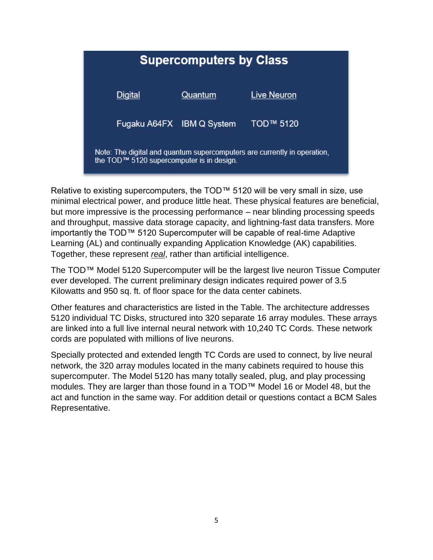

Relative to existing supercomputers, the TOD™ 5120 will be very small in size, use minimal electrical power, and produce little heat. These physical features are beneficial, but more impressive is the processing performance – near blinding processing speeds and throughput, massive data storage capacity, and lightning-fast data transfers. More importantly the TOD™ 5120 Supercomputer will be capable of real-time Adaptive Learning (AL) and continually expanding Application Knowledge (AK) capabilities. Together, these represent *real*, rather than artificial intelligence.

The TOD™ Model 5120 Supercomputer will be the largest live neuron Tissue Computer ever developed. The current preliminary design indicates required power of 3.5 Kilowatts and 950 sq. ft. of floor space for the data center cabinets.

Other features and characteristics are listed in the Table. The architecture addresses 5120 individual TC Disks, structured into 320 separate 16 array modules. These arrays are linked into a full live internal neural network with 10,240 TC Cords. These network cords are populated with millions of live neurons.

Specially protected and extended length TC Cords are used to connect, by live neural network, the 320 array modules located in the many cabinets required to house this supercomputer. The Model 5120 has many totally sealed, plug, and play processing modules. They are larger than those found in a TOD™ Model 16 or Model 48, but the act and function in the same way. For addition detail or questions contact a BCM Sales Representative.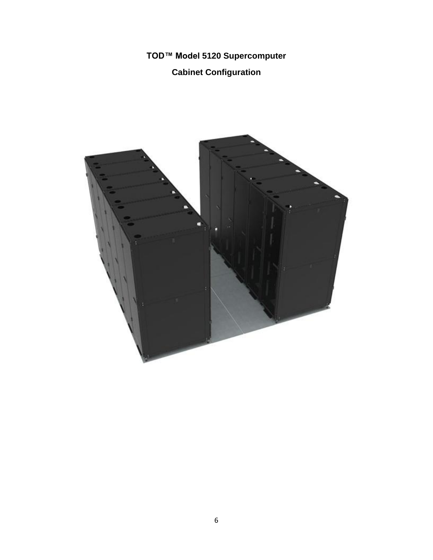**TOD™ Model 5120 Supercomputer**

## **Cabinet Configuration**